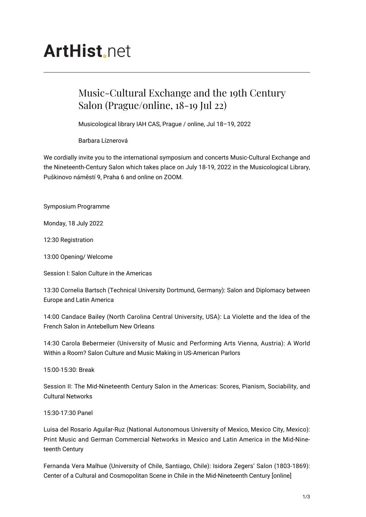## **ArtHist** net

## Music-Cultural Exchange and the 19th Century Salon (Prague/online, 18-19 Jul 22)

Musicological library IAH CAS, Prague / online, Jul 18–19, 2022

Barbara Líznerová

We cordially invite you to the international symposium and concerts Music-Cultural Exchange and the Nineteenth-Century Salon which takes place on July 18-19, 2022 in the Musicological Library, Puškinovo náměstí 9, Praha 6 and online on ZOOM.

Symposium Programme

Monday, 18 July 2022

12:30 Registration

13:00 Opening/ Welcome

Session I: Salon Culture in the Americas

13:30 Cornelia Bartsch (Technical University Dortmund, Germany): Salon and Diplomacy between Europe and Latin America

14:00 Candace Bailey (North Carolina Central University, USA): La Violette and the Idea of the French Salon in Antebellum New Orleans

14:30 Carola Bebermeier (University of Music and Performing Arts Vienna, Austria): A World Within a Room? Salon Culture and Music Making in US-American Parlors

15:00-15:30: Break

Session II: The Mid-Nineteenth Century Salon in the Americas: Scores, Pianism, Sociability, and Cultural Networks

15:30-17:30 Panel

Luisa del Rosario Aguilar-Ruz (National Autonomous University of Mexico, Mexico City, Mexico): Print Music and German Commercial Networks in Mexico and Latin America in the Mid-Nineteenth Century

Fernanda Vera Malhue (University of Chile, Santiago, Chile): Isidora Zegers' Salon (1803-1869): Center of a Cultural and Cosmopolitan Scene in Chile in the Mid-Nineteenth Century [online]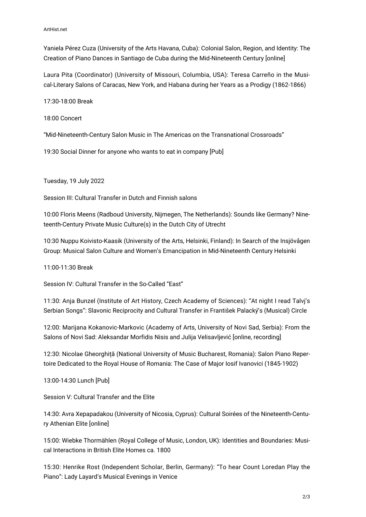Yaniela Pérez Cuza (University of the Arts Havana, Cuba): Colonial Salon, Region, and Identity: The Creation of Piano Dances in Santiago de Cuba during the Mid-Nineteenth Century [online]

Laura Pita (Coordinator) (University of Missouri, Columbia, USA): Teresa Carreño in the Musical-Literary Salons of Caracas, New York, and Habana during her Years as a Prodigy (1862-1866)

17:30-18:00 Break

18:00 Concert

"Mid-Nineteenth-Century Salon Music in The Americas on the Transnational Crossroads"

19:30 Social Dinner for anyone who wants to eat in company [Pub]

Tuesday, 19 July 2022

Session III: Cultural Transfer in Dutch and Finnish salons

10:00 Floris Meens (Radboud University, Nijmegen, The Netherlands): Sounds like Germany? Nineteenth-Century Private Music Culture(s) in the Dutch City of Utrecht

10:30 Nuppu Koivisto-Kaasik (University of the Arts, Helsinki, Finland): In Search of the Insjövågen Group: Musical Salon Culture and Women's Emancipation in Mid-Nineteenth Century Helsinki

11:00-11:30 Break

Session IV: Cultural Transfer in the So-Called "East"

11:30: Anja Bunzel (Institute of Art History, Czech Academy of Sciences): "At night I read Talvj's Serbian Songs": Slavonic Reciprocity and Cultural Transfer in František Palacký's (Musical) Circle

12:00: Marijana Kokanovic-Markovic (Academy of Arts, University of Novi Sad, Serbia): From the Salons of Novi Sad: Aleksandar Morfidis Nisis and Julija Velisavljević [online, recording]

12:30: Nicolae Gheorghiță (National University of Music Bucharest, Romania): Salon Piano Repertoire Dedicated to the Royal House of Romania: The Case of Major Iosif Ivanovici (1845-1902)

13:00-14:30 Lunch [Pub]

Session V: Cultural Transfer and the Elite

14:30: Avra Xepapadakou (University of Nicosia, Cyprus): Cultural Soirées of the Nineteenth-Century Athenian Elite [online]

15:00: Wiebke Thormählen (Royal College of Music, London, UK): Identities and Boundaries: Musical Interactions in British Elite Homes ca. 1800

15:30: Henrike Rost (Independent Scholar, Berlin, Germany): "To hear Count Loredan Play the Piano": Lady Layard's Musical Evenings in Venice